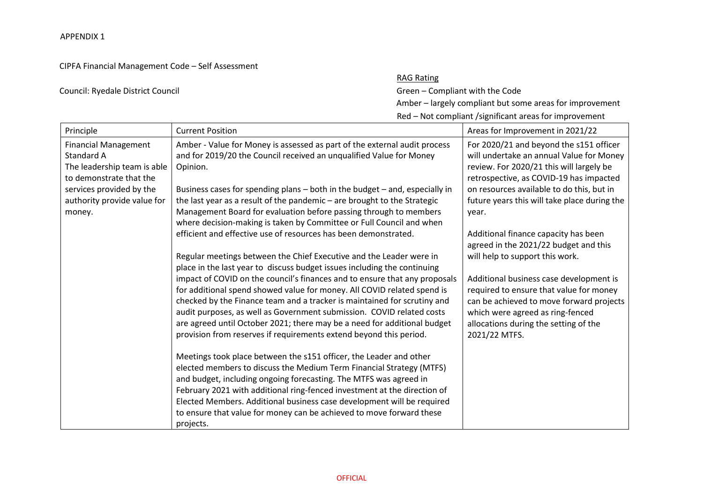## CIPFA Financial Management Code – Self Assessment

## Council: Ryedale District Council Green – Compliant with the Code

## RAG Rating

Amber – largely compliant but some areas for improvement

Red – Not compliant /significant areas for improvement

| Principle                                                                                           | <b>Current Position</b>                                                                                                                                                                                                                                                                                                                                                                                                                                      | Areas for Improvement in 2021/22                                                                                                                                                                                             |
|-----------------------------------------------------------------------------------------------------|--------------------------------------------------------------------------------------------------------------------------------------------------------------------------------------------------------------------------------------------------------------------------------------------------------------------------------------------------------------------------------------------------------------------------------------------------------------|------------------------------------------------------------------------------------------------------------------------------------------------------------------------------------------------------------------------------|
| <b>Financial Management</b><br>Standard A<br>The leadership team is able<br>to demonstrate that the | Amber - Value for Money is assessed as part of the external audit process<br>and for 2019/20 the Council received an unqualified Value for Money<br>Opinion.                                                                                                                                                                                                                                                                                                 | For 2020/21 and beyond the s151 officer<br>will undertake an annual Value for Money<br>review. For 2020/21 this will largely be<br>retrospective, as COVID-19 has impacted                                                   |
| services provided by the                                                                            | Business cases for spending plans - both in the budget - and, especially in<br>the last year as a result of the pandemic - are brought to the Strategic                                                                                                                                                                                                                                                                                                      | on resources available to do this, but in<br>future years this will take place during the                                                                                                                                    |
| authority provide value for<br>money.                                                               | Management Board for evaluation before passing through to members<br>where decision-making is taken by Committee or Full Council and when                                                                                                                                                                                                                                                                                                                    | year.                                                                                                                                                                                                                        |
|                                                                                                     | efficient and effective use of resources has been demonstrated.                                                                                                                                                                                                                                                                                                                                                                                              | Additional finance capacity has been<br>agreed in the 2021/22 budget and this                                                                                                                                                |
|                                                                                                     | Regular meetings between the Chief Executive and the Leader were in<br>place in the last year to discuss budget issues including the continuing                                                                                                                                                                                                                                                                                                              | will help to support this work.                                                                                                                                                                                              |
|                                                                                                     | impact of COVID on the council's finances and to ensure that any proposals<br>for additional spend showed value for money. All COVID related spend is<br>checked by the Finance team and a tracker is maintained for scrutiny and<br>audit purposes, as well as Government submission. COVID related costs<br>are agreed until October 2021; there may be a need for additional budget<br>provision from reserves if requirements extend beyond this period. | Additional business case development is<br>required to ensure that value for money<br>can be achieved to move forward projects<br>which were agreed as ring-fenced<br>allocations during the setting of the<br>2021/22 MTFS. |
|                                                                                                     | Meetings took place between the s151 officer, the Leader and other<br>elected members to discuss the Medium Term Financial Strategy (MTFS)<br>and budget, including ongoing forecasting. The MTFS was agreed in<br>February 2021 with additional ring-fenced investment at the direction of<br>Elected Members. Additional business case development will be required                                                                                        |                                                                                                                                                                                                                              |
|                                                                                                     | to ensure that value for money can be achieved to move forward these<br>projects.                                                                                                                                                                                                                                                                                                                                                                            |                                                                                                                                                                                                                              |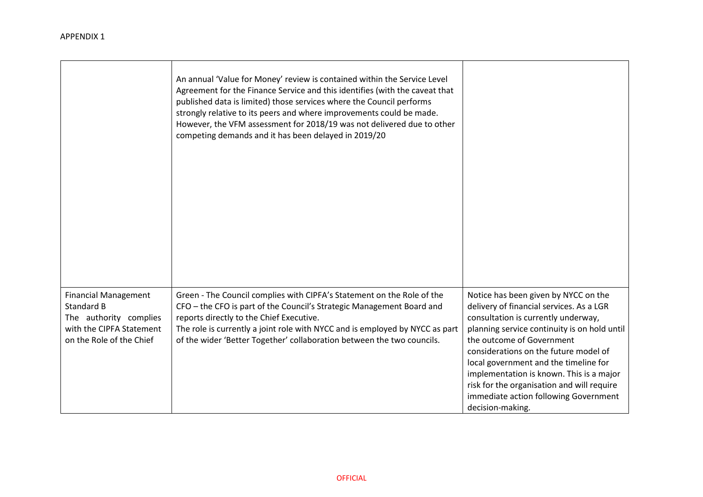|                                                                                                                             | An annual 'Value for Money' review is contained within the Service Level<br>Agreement for the Finance Service and this identifies (with the caveat that<br>published data is limited) those services where the Council performs<br>strongly relative to its peers and where improvements could be made.<br>However, the VFM assessment for 2018/19 was not delivered due to other<br>competing demands and it has been delayed in 2019/20 |                                                                                                                                                                                                                                                                                                                                                                                                                                               |
|-----------------------------------------------------------------------------------------------------------------------------|-------------------------------------------------------------------------------------------------------------------------------------------------------------------------------------------------------------------------------------------------------------------------------------------------------------------------------------------------------------------------------------------------------------------------------------------|-----------------------------------------------------------------------------------------------------------------------------------------------------------------------------------------------------------------------------------------------------------------------------------------------------------------------------------------------------------------------------------------------------------------------------------------------|
| <b>Financial Management</b><br>Standard B<br>The authority complies<br>with the CIPFA Statement<br>on the Role of the Chief | Green - The Council complies with CIPFA's Statement on the Role of the<br>CFO - the CFO is part of the Council's Strategic Management Board and<br>reports directly to the Chief Executive.<br>The role is currently a joint role with NYCC and is employed by NYCC as part<br>of the wider 'Better Together' collaboration between the two councils.                                                                                     | Notice has been given by NYCC on the<br>delivery of financial services. As a LGR<br>consultation is currently underway,<br>planning service continuity is on hold until<br>the outcome of Government<br>considerations on the future model of<br>local government and the timeline for<br>implementation is known. This is a major<br>risk for the organisation and will require<br>immediate action following Government<br>decision-making. |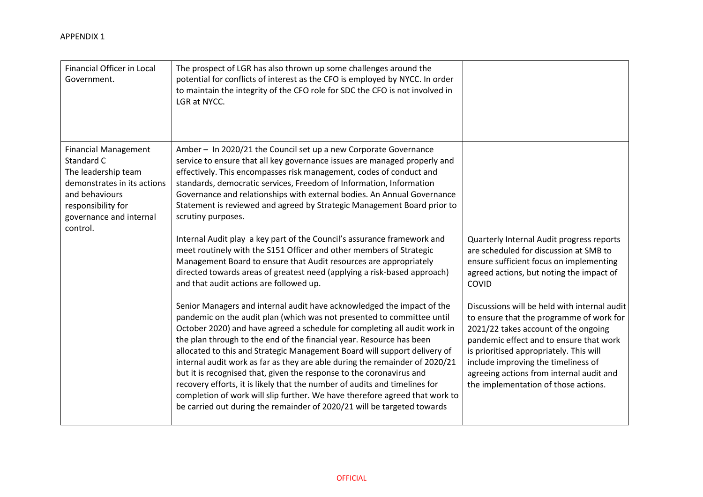| Financial Officer in Local<br>Government.                                                                                                                                      | The prospect of LGR has also thrown up some challenges around the<br>potential for conflicts of interest as the CFO is employed by NYCC. In order<br>to maintain the integrity of the CFO role for SDC the CFO is not involved in<br>LGR at NYCC.                                                                                                                                                                                                                                                                                                                                                                                                                                                                                                                                                                                                                                                                                                                                                                                                                                                                                                                                                                                                                                                                                                                                                                                                                                                                                                                                                          |                                                                                                                                                                                                                                                                                                                                                                                                                                                                                                                                          |
|--------------------------------------------------------------------------------------------------------------------------------------------------------------------------------|------------------------------------------------------------------------------------------------------------------------------------------------------------------------------------------------------------------------------------------------------------------------------------------------------------------------------------------------------------------------------------------------------------------------------------------------------------------------------------------------------------------------------------------------------------------------------------------------------------------------------------------------------------------------------------------------------------------------------------------------------------------------------------------------------------------------------------------------------------------------------------------------------------------------------------------------------------------------------------------------------------------------------------------------------------------------------------------------------------------------------------------------------------------------------------------------------------------------------------------------------------------------------------------------------------------------------------------------------------------------------------------------------------------------------------------------------------------------------------------------------------------------------------------------------------------------------------------------------------|------------------------------------------------------------------------------------------------------------------------------------------------------------------------------------------------------------------------------------------------------------------------------------------------------------------------------------------------------------------------------------------------------------------------------------------------------------------------------------------------------------------------------------------|
| <b>Financial Management</b><br>Standard C<br>The leadership team<br>demonstrates in its actions<br>and behaviours<br>responsibility for<br>governance and internal<br>control. | Amber - In 2020/21 the Council set up a new Corporate Governance<br>service to ensure that all key governance issues are managed properly and<br>effectively. This encompasses risk management, codes of conduct and<br>standards, democratic services, Freedom of Information, Information<br>Governance and relationships with external bodies. An Annual Governance<br>Statement is reviewed and agreed by Strategic Management Board prior to<br>scrutiny purposes.<br>Internal Audit play a key part of the Council's assurance framework and<br>meet routinely with the S151 Officer and other members of Strategic<br>Management Board to ensure that Audit resources are appropriately<br>directed towards areas of greatest need (applying a risk-based approach)<br>and that audit actions are followed up.<br>Senior Managers and internal audit have acknowledged the impact of the<br>pandemic on the audit plan (which was not presented to committee until<br>October 2020) and have agreed a schedule for completing all audit work in<br>the plan through to the end of the financial year. Resource has been<br>allocated to this and Strategic Management Board will support delivery of<br>internal audit work as far as they are able during the remainder of 2020/21<br>but it is recognised that, given the response to the coronavirus and<br>recovery efforts, it is likely that the number of audits and timelines for<br>completion of work will slip further. We have therefore agreed that work to<br>be carried out during the remainder of 2020/21 will be targeted towards | Quarterly Internal Audit progress reports<br>are scheduled for discussion at SMB to<br>ensure sufficient focus on implementing<br>agreed actions, but noting the impact of<br>COVID<br>Discussions will be held with internal audit<br>to ensure that the programme of work for<br>2021/22 takes account of the ongoing<br>pandemic effect and to ensure that work<br>is prioritised appropriately. This will<br>include improving the timeliness of<br>agreeing actions from internal audit and<br>the implementation of those actions. |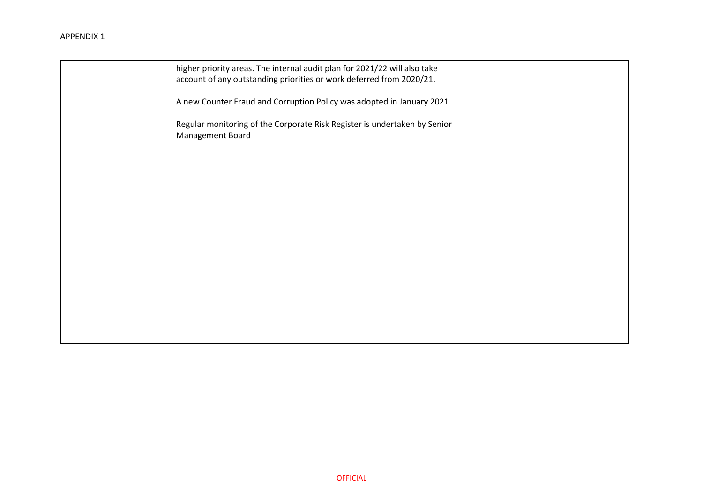| higher priority areas. The internal audit plan for 2021/22 will also take<br>account of any outstanding priorities or work deferred from 2020/21. |  |
|---------------------------------------------------------------------------------------------------------------------------------------------------|--|
| A new Counter Fraud and Corruption Policy was adopted in January 2021                                                                             |  |
| Regular monitoring of the Corporate Risk Register is undertaken by Senior<br>Management Board                                                     |  |
|                                                                                                                                                   |  |
|                                                                                                                                                   |  |
|                                                                                                                                                   |  |
|                                                                                                                                                   |  |
|                                                                                                                                                   |  |
|                                                                                                                                                   |  |
|                                                                                                                                                   |  |
|                                                                                                                                                   |  |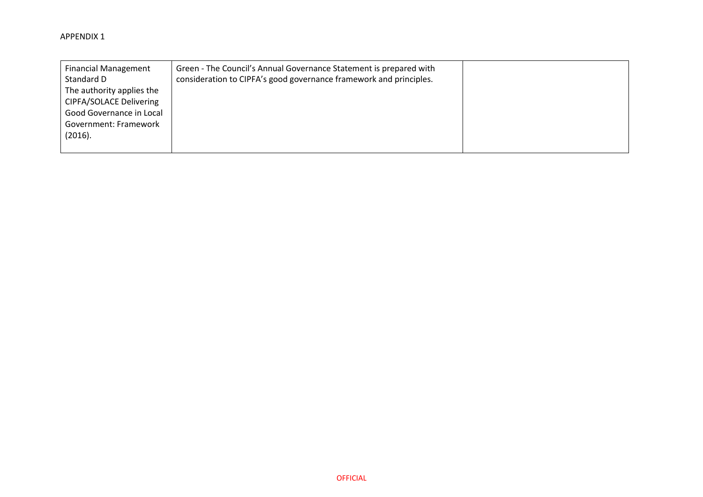| <b>Financial Management</b><br>Standard D | Green - The Council's Annual Governance Statement is prepared with<br>consideration to CIPFA's good governance framework and principles. |  |
|-------------------------------------------|------------------------------------------------------------------------------------------------------------------------------------------|--|
|                                           |                                                                                                                                          |  |
| The authority applies the                 |                                                                                                                                          |  |
| <b>CIPFA/SOLACE Delivering</b>            |                                                                                                                                          |  |
| Good Governance in Local                  |                                                                                                                                          |  |
| Government: Framework                     |                                                                                                                                          |  |
| (2016).                                   |                                                                                                                                          |  |
|                                           |                                                                                                                                          |  |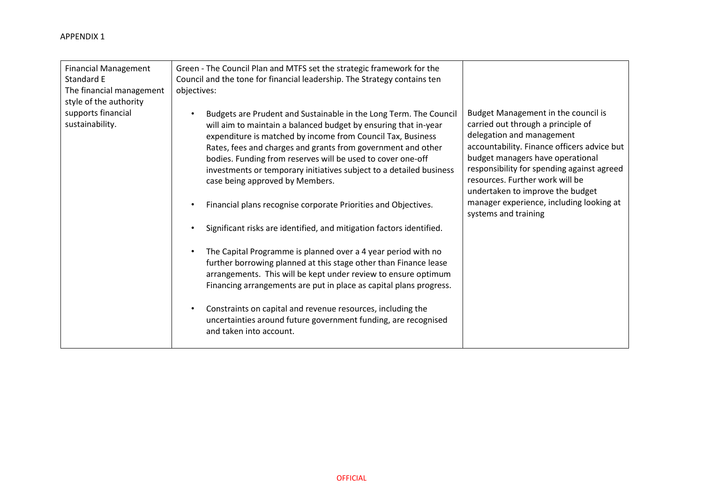| <b>Financial Management</b><br>Standard E<br>The financial management<br>style of the authority | Green - The Council Plan and MTFS set the strategic framework for the<br>Council and the tone for financial leadership. The Strategy contains ten<br>objectives:                                                                                                                                                                                                                                                                             |                                                                                                                                                                                                                                                                                                                |
|-------------------------------------------------------------------------------------------------|----------------------------------------------------------------------------------------------------------------------------------------------------------------------------------------------------------------------------------------------------------------------------------------------------------------------------------------------------------------------------------------------------------------------------------------------|----------------------------------------------------------------------------------------------------------------------------------------------------------------------------------------------------------------------------------------------------------------------------------------------------------------|
| supports financial<br>sustainability.                                                           | Budgets are Prudent and Sustainable in the Long Term. The Council<br>will aim to maintain a balanced budget by ensuring that in-year<br>expenditure is matched by income from Council Tax, Business<br>Rates, fees and charges and grants from government and other<br>bodies. Funding from reserves will be used to cover one-off<br>investments or temporary initiatives subject to a detailed business<br>case being approved by Members. | Budget Management in the council is<br>carried out through a principle of<br>delegation and management<br>accountability. Finance officers advice but<br>budget managers have operational<br>responsibility for spending against agreed<br>resources. Further work will be<br>undertaken to improve the budget |
|                                                                                                 | Financial plans recognise corporate Priorities and Objectives.                                                                                                                                                                                                                                                                                                                                                                               | manager experience, including looking at<br>systems and training                                                                                                                                                                                                                                               |
|                                                                                                 | Significant risks are identified, and mitigation factors identified.                                                                                                                                                                                                                                                                                                                                                                         |                                                                                                                                                                                                                                                                                                                |
|                                                                                                 | The Capital Programme is planned over a 4 year period with no<br>further borrowing planned at this stage other than Finance lease<br>arrangements. This will be kept under review to ensure optimum<br>Financing arrangements are put in place as capital plans progress.                                                                                                                                                                    |                                                                                                                                                                                                                                                                                                                |
|                                                                                                 | Constraints on capital and revenue resources, including the<br>uncertainties around future government funding, are recognised<br>and taken into account.                                                                                                                                                                                                                                                                                     |                                                                                                                                                                                                                                                                                                                |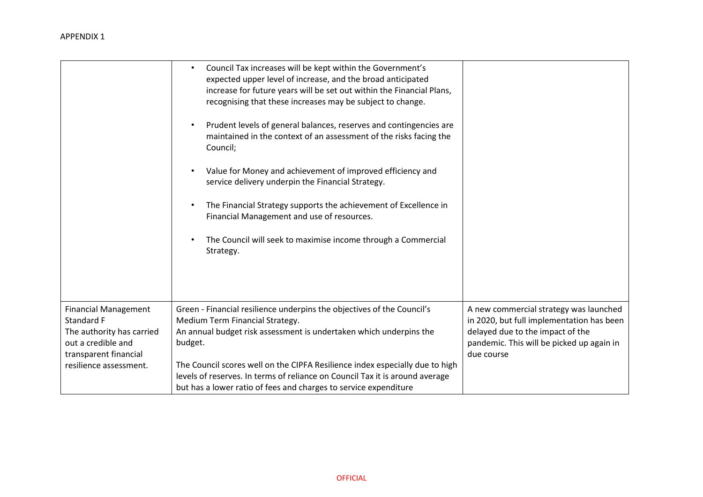|                                             | Council Tax increases will be kept within the Government's<br>$\bullet$<br>expected upper level of increase, and the broad anticipated<br>increase for future years will be set out within the Financial Plans,<br>recognising that these increases may be subject to change.<br>Prudent levels of general balances, reserves and contingencies are<br>$\bullet$<br>maintained in the context of an assessment of the risks facing the<br>Council; |                                                                                     |
|---------------------------------------------|----------------------------------------------------------------------------------------------------------------------------------------------------------------------------------------------------------------------------------------------------------------------------------------------------------------------------------------------------------------------------------------------------------------------------------------------------|-------------------------------------------------------------------------------------|
|                                             | Value for Money and achievement of improved efficiency and<br>$\bullet$<br>service delivery underpin the Financial Strategy.                                                                                                                                                                                                                                                                                                                       |                                                                                     |
|                                             | The Financial Strategy supports the achievement of Excellence in<br>$\bullet$<br>Financial Management and use of resources.                                                                                                                                                                                                                                                                                                                        |                                                                                     |
|                                             | The Council will seek to maximise income through a Commercial<br>$\bullet$<br>Strategy.                                                                                                                                                                                                                                                                                                                                                            |                                                                                     |
|                                             |                                                                                                                                                                                                                                                                                                                                                                                                                                                    |                                                                                     |
| <b>Financial Management</b><br>Standard F   | Green - Financial resilience underpins the objectives of the Council's<br>Medium Term Financial Strategy.                                                                                                                                                                                                                                                                                                                                          | A new commercial strategy was launched<br>in 2020, but full implementation has been |
| The authority has carried                   | An annual budget risk assessment is undertaken which underpins the                                                                                                                                                                                                                                                                                                                                                                                 | delayed due to the impact of the                                                    |
| out a credible and<br>transparent financial | budget.                                                                                                                                                                                                                                                                                                                                                                                                                                            | pandemic. This will be picked up again in<br>due course                             |
| resilience assessment.                      | The Council scores well on the CIPFA Resilience index especially due to high                                                                                                                                                                                                                                                                                                                                                                       |                                                                                     |
|                                             | levels of reserves. In terms of reliance on Council Tax it is around average                                                                                                                                                                                                                                                                                                                                                                       |                                                                                     |
|                                             | but has a lower ratio of fees and charges to service expenditure                                                                                                                                                                                                                                                                                                                                                                                   |                                                                                     |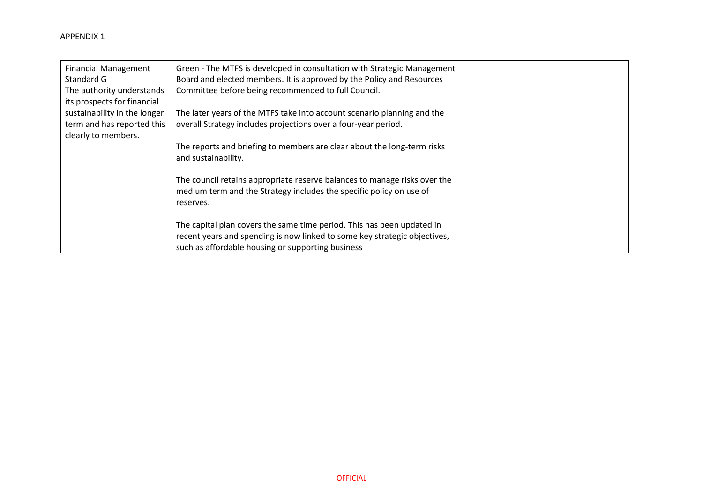| <b>Financial Management</b><br>Standard G<br>The authority understands<br>its prospects for financial | Green - The MTFS is developed in consultation with Strategic Management<br>Board and elected members. It is approved by the Policy and Resources<br>Committee before being recommended to full Council.  |  |
|-------------------------------------------------------------------------------------------------------|----------------------------------------------------------------------------------------------------------------------------------------------------------------------------------------------------------|--|
| sustainability in the longer                                                                          | The later years of the MTFS take into account scenario planning and the                                                                                                                                  |  |
| term and has reported this<br>clearly to members.                                                     | overall Strategy includes projections over a four-year period.                                                                                                                                           |  |
|                                                                                                       | The reports and briefing to members are clear about the long-term risks<br>and sustainability.                                                                                                           |  |
|                                                                                                       | The council retains appropriate reserve balances to manage risks over the<br>medium term and the Strategy includes the specific policy on use of<br>reserves.                                            |  |
|                                                                                                       | The capital plan covers the same time period. This has been updated in<br>recent years and spending is now linked to some key strategic objectives,<br>such as affordable housing or supporting business |  |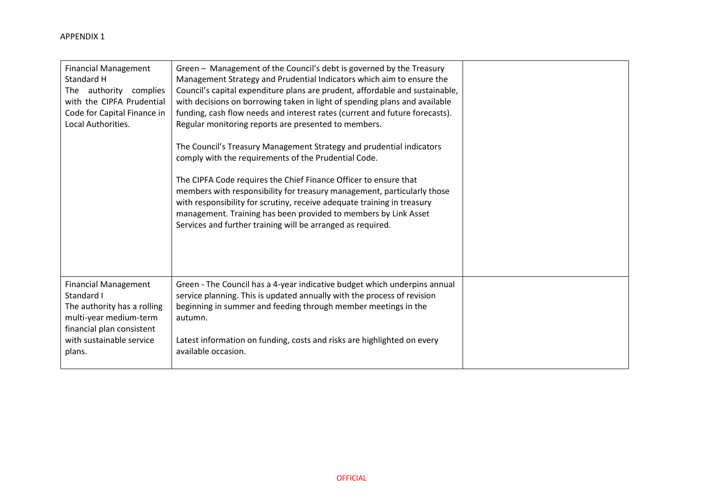| <b>Financial Management</b><br>Standard H<br>The authority complies<br>with the CIPFA Prudential<br>Code for Capital Finance in<br>Local Authorities.                 | Green - Management of the Council's debt is governed by the Treasury<br>Management Strategy and Prudential Indicators which aim to ensure the<br>Council's capital expenditure plans are prudent, affordable and sustainable,<br>with decisions on borrowing taken in light of spending plans and available<br>funding, cash flow needs and interest rates (current and future forecasts).<br>Regular monitoring reports are presented to members.<br>The Council's Treasury Management Strategy and prudential indicators<br>comply with the requirements of the Prudential Code.<br>The CIPFA Code requires the Chief Finance Officer to ensure that<br>members with responsibility for treasury management, particularly those<br>with responsibility for scrutiny, receive adequate training in treasury<br>management. Training has been provided to members by Link Asset<br>Services and further training will be arranged as required. |  |
|-----------------------------------------------------------------------------------------------------------------------------------------------------------------------|------------------------------------------------------------------------------------------------------------------------------------------------------------------------------------------------------------------------------------------------------------------------------------------------------------------------------------------------------------------------------------------------------------------------------------------------------------------------------------------------------------------------------------------------------------------------------------------------------------------------------------------------------------------------------------------------------------------------------------------------------------------------------------------------------------------------------------------------------------------------------------------------------------------------------------------------|--|
| <b>Financial Management</b><br>Standard I<br>The authority has a rolling<br>multi-year medium-term<br>financial plan consistent<br>with sustainable service<br>plans. | Green - The Council has a 4-year indicative budget which underpins annual<br>service planning. This is updated annually with the process of revision<br>beginning in summer and feeding through member meetings in the<br>autumn.<br>Latest information on funding, costs and risks are highlighted on every<br>available occasion.                                                                                                                                                                                                                                                                                                                                                                                                                                                                                                                                                                                                            |  |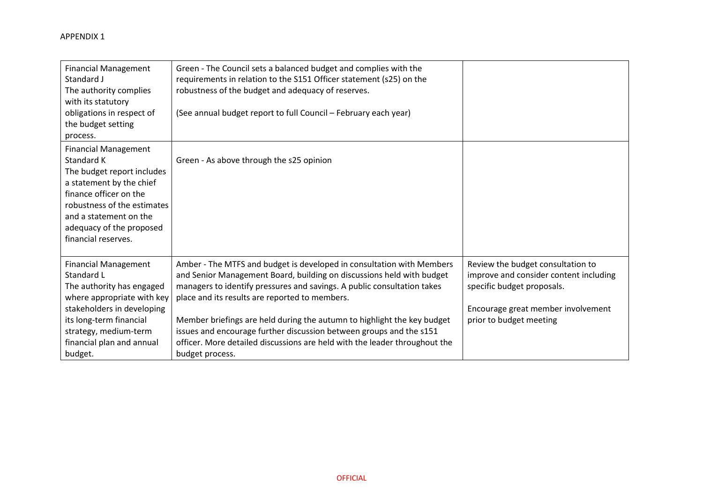| <b>Financial Management</b><br>Standard J<br>The authority complies<br>with its statutory<br>obligations in respect of<br>the budget setting<br>process.                                                                                  | Green - The Council sets a balanced budget and complies with the<br>requirements in relation to the S151 Officer statement (s25) on the<br>robustness of the budget and adequacy of reserves.<br>(See annual budget report to full Council - February each year)                                                                                                                                                                                                                                                               |                                                                                                                                                                            |
|-------------------------------------------------------------------------------------------------------------------------------------------------------------------------------------------------------------------------------------------|--------------------------------------------------------------------------------------------------------------------------------------------------------------------------------------------------------------------------------------------------------------------------------------------------------------------------------------------------------------------------------------------------------------------------------------------------------------------------------------------------------------------------------|----------------------------------------------------------------------------------------------------------------------------------------------------------------------------|
| <b>Financial Management</b><br>Standard K<br>The budget report includes<br>a statement by the chief<br>finance officer on the<br>robustness of the estimates<br>and a statement on the<br>adequacy of the proposed<br>financial reserves. | Green - As above through the s25 opinion                                                                                                                                                                                                                                                                                                                                                                                                                                                                                       |                                                                                                                                                                            |
| <b>Financial Management</b><br>Standard L<br>The authority has engaged<br>where appropriate with key<br>stakeholders in developing<br>its long-term financial<br>strategy, medium-term<br>financial plan and annual<br>budget.            | Amber - The MTFS and budget is developed in consultation with Members<br>and Senior Management Board, building on discussions held with budget<br>managers to identify pressures and savings. A public consultation takes<br>place and its results are reported to members.<br>Member briefings are held during the autumn to highlight the key budget<br>issues and encourage further discussion between groups and the s151<br>officer. More detailed discussions are held with the leader throughout the<br>budget process. | Review the budget consultation to<br>improve and consider content including<br>specific budget proposals.<br>Encourage great member involvement<br>prior to budget meeting |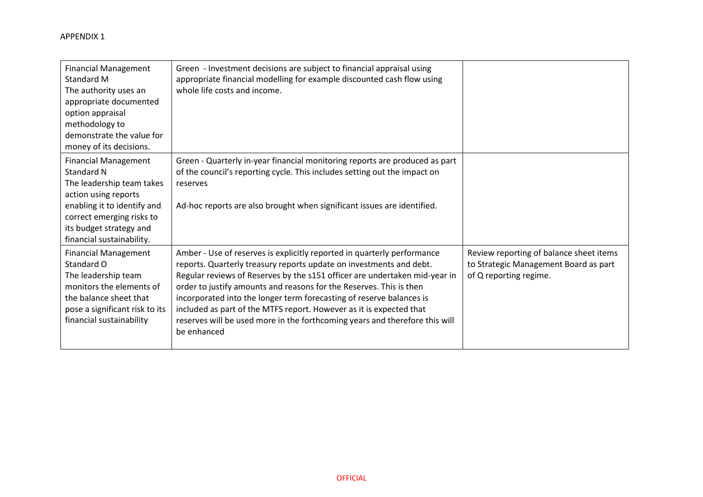| <b>Financial Management</b><br>Standard M<br>The authority uses an<br>appropriate documented<br>option appraisal<br>methodology to<br>demonstrate the value for<br>money of its decisions.                         | Green - Investment decisions are subject to financial appraisal using<br>appropriate financial modelling for example discounted cash flow using<br>whole life costs and income.                                                                                                                                                                                                                                                                                                                                                                  |                                                                                                            |
|--------------------------------------------------------------------------------------------------------------------------------------------------------------------------------------------------------------------|--------------------------------------------------------------------------------------------------------------------------------------------------------------------------------------------------------------------------------------------------------------------------------------------------------------------------------------------------------------------------------------------------------------------------------------------------------------------------------------------------------------------------------------------------|------------------------------------------------------------------------------------------------------------|
| <b>Financial Management</b><br>Standard N<br>The leadership team takes<br>action using reports<br>enabling it to identify and<br>correct emerging risks to<br>its budget strategy and<br>financial sustainability. | Green - Quarterly in-year financial monitoring reports are produced as part<br>of the council's reporting cycle. This includes setting out the impact on<br>reserves<br>Ad-hoc reports are also brought when significant issues are identified.                                                                                                                                                                                                                                                                                                  |                                                                                                            |
| <b>Financial Management</b><br>Standard O<br>The leadership team<br>monitors the elements of<br>the balance sheet that<br>pose a significant risk to its<br>financial sustainability                               | Amber - Use of reserves is explicitly reported in quarterly performance<br>reports. Quarterly treasury reports update on investments and debt.<br>Regular reviews of Reserves by the s151 officer are undertaken mid-year in<br>order to justify amounts and reasons for the Reserves. This is then<br>incorporated into the longer term forecasting of reserve balances is<br>included as part of the MTFS report. However as it is expected that<br>reserves will be used more in the forthcoming years and therefore this will<br>be enhanced | Review reporting of balance sheet items<br>to Strategic Management Board as part<br>of Q reporting regime. |